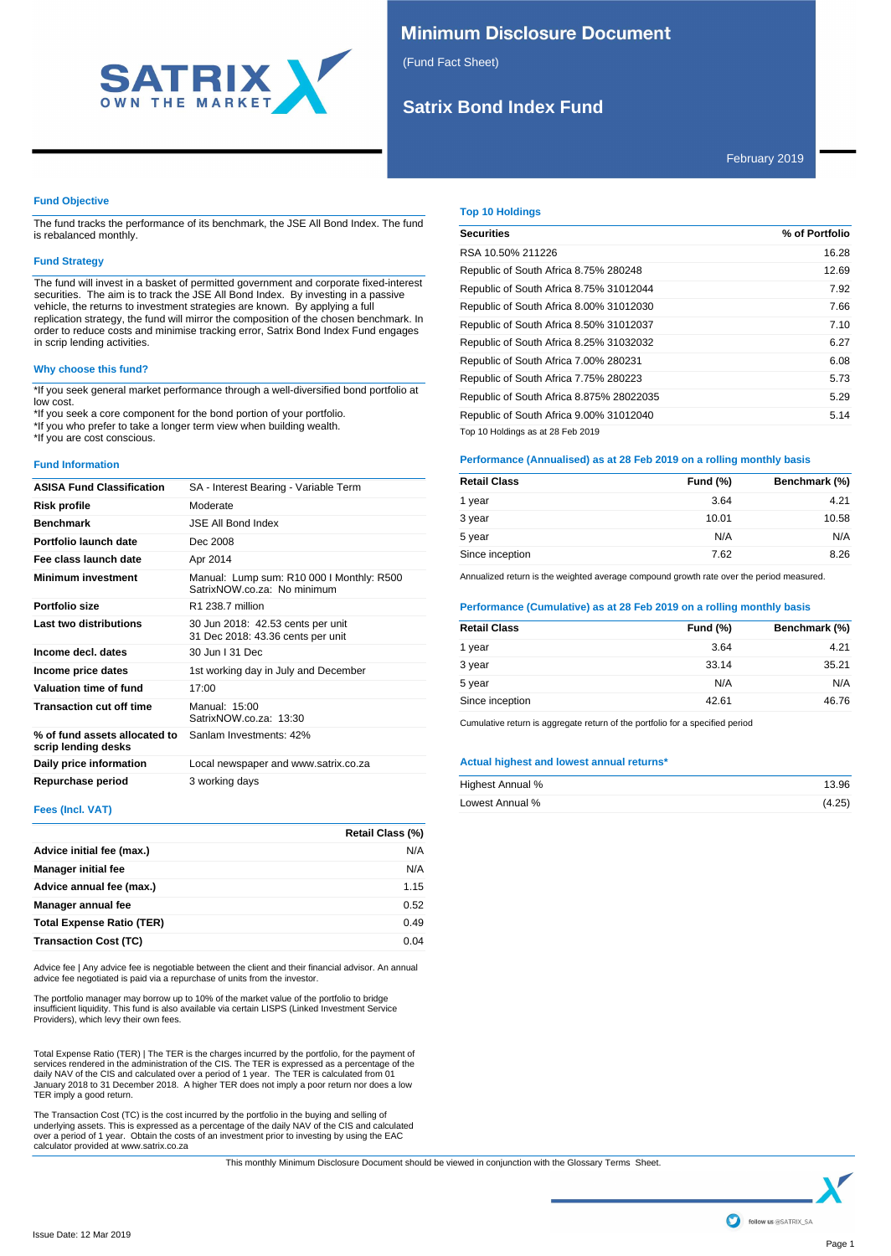

# **Minimum Disclosure Document**

(Fund Fact Sheet)

# **Satrix Bond Index Fund**

February 2019

### **Fund Objective**

The fund tracks the performance of its benchmark, the JSE All Bond Index. The fund is rebalanced monthly.

#### **Fund Strategy**

The fund will invest in a basket of permitted government and corporate fixed-interest securities. The aim is to track the JSE All Bond Index. By investing in a passive vehicle, the returns to investment strategies are known. By applying a full replication strategy, the fund will mirror the composition of the chosen benchmark. In order to reduce costs and minimise tracking error, Satrix Bond Index Fund engages in scrip lending activities.

### **Why choose this fund?**

\*If you seek general market performance through a well-diversified bond portfolio at low cost.

\*If you seek a core component for the bond portion of your portfolio.

\*If you who prefer to take a longer term view when building wealth. \*If you are cost conscious.

### **Fund Information**

| <b>ASISA Fund Classification</b>                     | SA - Interest Bearing - Variable Term                                    |
|------------------------------------------------------|--------------------------------------------------------------------------|
| Risk profile                                         | Moderate                                                                 |
| <b>Benchmark</b>                                     | <b>JSF All Bond Index</b>                                                |
| Portfolio launch date                                | Dec 2008                                                                 |
| Fee class launch date                                | Apr 2014                                                                 |
| Minimum investment                                   | Manual: Lump sum: R10 000 I Monthly: R500<br>SatrixNOW.co.za: No minimum |
| Portfolio size                                       | R1 238.7 million                                                         |
| Last two distributions                               | 30 Jun 2018: 42.53 cents per unit<br>31 Dec 2018: 43.36 cents per unit   |
| Income decl. dates                                   | 30 Jun L31 Dec                                                           |
| Income price dates                                   | 1st working day in July and December                                     |
| Valuation time of fund                               | 17:00                                                                    |
| <b>Transaction cut off time</b>                      | Manual: $15:00$<br>Satrix NOW co za: $13:30$                             |
| % of fund assets allocated to<br>scrip lending desks | Sanlam Investments: 42%                                                  |
| Daily price information                              | Local newspaper and www.satrix.co.za                                     |
| Repurchase period                                    | 3 working days                                                           |

### **Fees (Incl. VAT)**

|                                  | Retail Class (%) |
|----------------------------------|------------------|
| Advice initial fee (max.)        | N/A              |
| <b>Manager initial fee</b>       | N/A              |
| Advice annual fee (max.)         | 1.15             |
| Manager annual fee               | 0.52             |
| <b>Total Expense Ratio (TER)</b> | 0.49             |
| <b>Transaction Cost (TC)</b>     | 0.04             |

Advice fee | Any advice fee is negotiable between the client and their financial advisor. An annual advice fee negotiated is paid via a repurchase of units from the investor.

The portfolio manager may borrow up to 10% of the market value of the portfolio to bridge insufficient liquidity. This fund is also available via certain LISPS (Linked Investment Service Providers), which levy their own fees.

Total Expense Ratio (TER) | The TER is the charges incurred by the portfolio, for the payment of<br>services rendered in the administration of the CIS. The TER is expressed as a percentage of the<br>daily NAV of the CIS and calc TER imply a good return.

The Transaction Cost (TC) is the cost incurred by the portfolio in the buying and selling of underlying assets. This is expressed as a percentage of the daily NAV of the CIS and calculated over a period of 1 year. Obtain the costs of an investment prior to investing by using the EAC calculator provided at www.satrix.co.za

#### **Top 10 Holdings**

| <b>Securities</b>                        | % of Portfolio |
|------------------------------------------|----------------|
| RSA 10.50% 211226                        | 16.28          |
| Republic of South Africa 8.75% 280248    | 12.69          |
| Republic of South Africa 8.75% 31012044  | 7.92           |
| Republic of South Africa 8.00% 31012030  | 7.66           |
| Republic of South Africa 8.50% 31012037  | 7.10           |
| Republic of South Africa 8.25% 31032032  | 6.27           |
| Republic of South Africa 7.00% 280231    | 6.08           |
| Republic of South Africa 7.75% 280223    | 5.73           |
| Republic of South Africa 8.875% 28022035 | 5.29           |
| Republic of South Africa 9.00% 31012040  | 5.14           |
| Top 10 Holdings as at 28 Feb 2019        |                |

#### **Performance (Annualised) as at 28 Feb 2019 on a rolling monthly basis**

| <b>Retail Class</b> | Fund (%) | Benchmark (%) |
|---------------------|----------|---------------|
| 1 year              | 3.64     | 4.21          |
| 3 year              | 10.01    | 10.58         |
| 5 year              | N/A      | N/A           |
| Since inception     | 7.62     | 8.26          |

Annualized return is the weighted average compound growth rate over the period measured.

### **Performance (Cumulative) as at 28 Feb 2019 on a rolling monthly basis**

| <b>Retail Class</b> | <b>Fund (%)</b> | Benchmark (%) |
|---------------------|-----------------|---------------|
| 1 year              | 3.64            | 4.21          |
| 3 year              | 33.14           | 35.21         |
| 5 year              | N/A             | N/A           |
| Since inception     | 42.61           | 46.76         |

Cumulative return is aggregate return of the portfolio for a specified period

### **Actual highest and lowest annual returns\***

| Highest Annual % | 13.96  |
|------------------|--------|
| Lowest Annual %  | (4.25) |

This monthly Minimum Disclosure Document should be viewed in conjunction with the Glossary Terms Sheet.

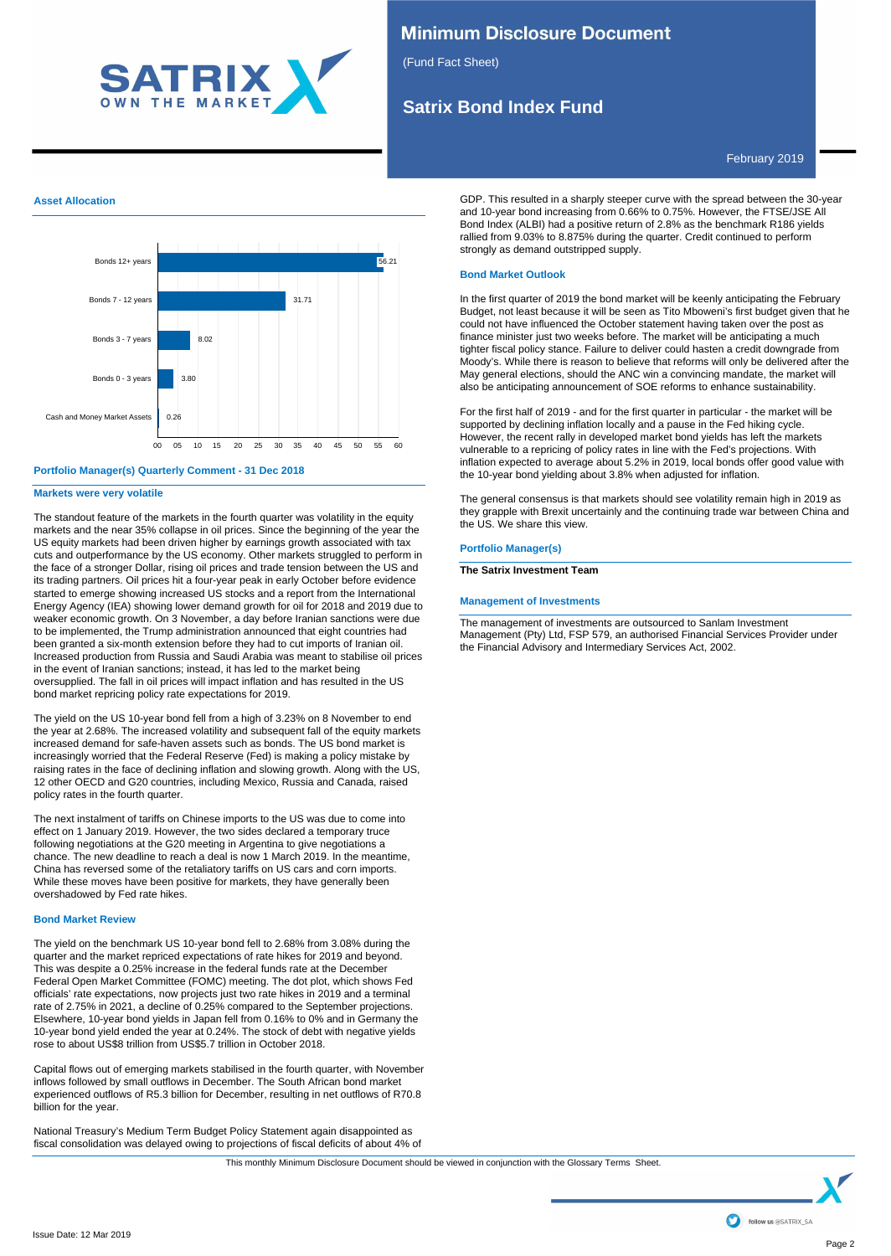

# **Minimum Disclosure Document**

(Fund Fact Sheet)

# **Satrix Bond Index Fund**

February 2019

### **Asset Allocation**



# **Portfolio Manager(s) Quarterly Comment - 31 Dec 2018**

#### **Markets were very volatile**

The standout feature of the markets in the fourth quarter was volatility in the equity markets and the near 35% collapse in oil prices. Since the beginning of the year the US equity markets had been driven higher by earnings growth associated with tax cuts and outperformance by the US economy. Other markets struggled to perform in the face of a stronger Dollar, rising oil prices and trade tension between the US and its trading partners. Oil prices hit a four-year peak in early October before evidence started to emerge showing increased US stocks and a report from the International Energy Agency (IEA) showing lower demand growth for oil for 2018 and 2019 due to weaker economic growth. On 3 November, a day before Iranian sanctions were due to be implemented, the Trump administration announced that eight countries had been granted a six-month extension before they had to cut imports of Iranian oil. Increased production from Russia and Saudi Arabia was meant to stabilise oil prices in the event of Iranian sanctions; instead, it has led to the market being oversupplied. The fall in oil prices will impact inflation and has resulted in the US bond market repricing policy rate expectations for 2019.

The yield on the US 10-year bond fell from a high of 3.23% on 8 November to end the year at 2.68%. The increased volatility and subsequent fall of the equity markets increased demand for safe-haven assets such as bonds. The US bond market is increasingly worried that the Federal Reserve (Fed) is making a policy mistake by raising rates in the face of declining inflation and slowing growth. Along with the US, 12 other OECD and G20 countries, including Mexico, Russia and Canada, raised policy rates in the fourth quarter.

The next instalment of tariffs on Chinese imports to the US was due to come into effect on 1 January 2019. However, the two sides declared a temporary truce following negotiations at the G20 meeting in Argentina to give negotiations a chance. The new deadline to reach a deal is now 1 March 2019. In the meantime, China has reversed some of the retaliatory tariffs on US cars and corn imports. While these moves have been positive for markets, they have generally been overshadowed by Fed rate hikes.

### **Bond Market Review**

The yield on the benchmark US 10-year bond fell to 2.68% from 3.08% during the quarter and the market repriced expectations of rate hikes for 2019 and beyond. This was despite a 0.25% increase in the federal funds rate at the December Federal Open Market Committee (FOMC) meeting. The dot plot, which shows Fed officials' rate expectations, now projects just two rate hikes in 2019 and a terminal rate of 2.75% in 2021, a decline of 0.25% compared to the September projections. Elsewhere, 10-year bond yields in Japan fell from 0.16% to 0% and in Germany the 10-year bond yield ended the year at 0.24%. The stock of debt with negative yields rose to about US\$8 trillion from US\$5.7 trillion in October 2018.

Capital flows out of emerging markets stabilised in the fourth quarter, with November inflows followed by small outflows in December. The South African bond market experienced outflows of R5.3 billion for December, resulting in net outflows of R70.8 billion for the year.

National Treasury's Medium Term Budget Policy Statement again disappointed as fiscal consolidation was delayed owing to projections of fiscal deficits of about 4% of

GDP. This resulted in a sharply steeper curve with the spread between the 30-year and 10-year bond increasing from 0.66% to 0.75%. However, the FTSE/JSE All Bond Index (ALBI) had a positive return of 2.8% as the benchmark R186 yields rallied from 9.03% to 8.875% during the quarter. Credit continued to perform strongly as demand outstripped supply.

#### **Bond Market Outlook**

In the first quarter of 2019 the bond market will be keenly anticipating the February Budget, not least because it will be seen as Tito Mboweni's first budget given that he could not have influenced the October statement having taken over the post as finance minister just two weeks before. The market will be anticipating a much tighter fiscal policy stance. Failure to deliver could hasten a credit downgrade from Moody's. While there is reason to believe that reforms will only be delivered after the May general elections, should the ANC win a convincing mandate, the market will also be anticipating announcement of SOE reforms to enhance sustainability.

For the first half of 2019 - and for the first quarter in particular - the market will be supported by declining inflation locally and a pause in the Fed hiking cycle. However, the recent rally in developed market bond yields has left the markets vulnerable to a repricing of policy rates in line with the Fed's projections. With inflation expected to average about 5.2% in 2019, local bonds offer good value with the 10-year bond yielding about 3.8% when adjusted for inflation.

The general consensus is that markets should see volatility remain high in 2019 as they grapple with Brexit uncertainly and the continuing trade war between China and the US. We share this view.

# **Portfolio Manager(s)**

### **The Satrix Investment Team**

#### **Management of Investments**

The management of investments are outsourced to Sanlam Investment Management (Pty) Ltd, FSP 579, an authorised Financial Services Provider under the Financial Advisory and Intermediary Services Act, 2002.

This monthly Minimum Disclosure Document should be viewed in conjunction with the Glossary Terms Sheet.